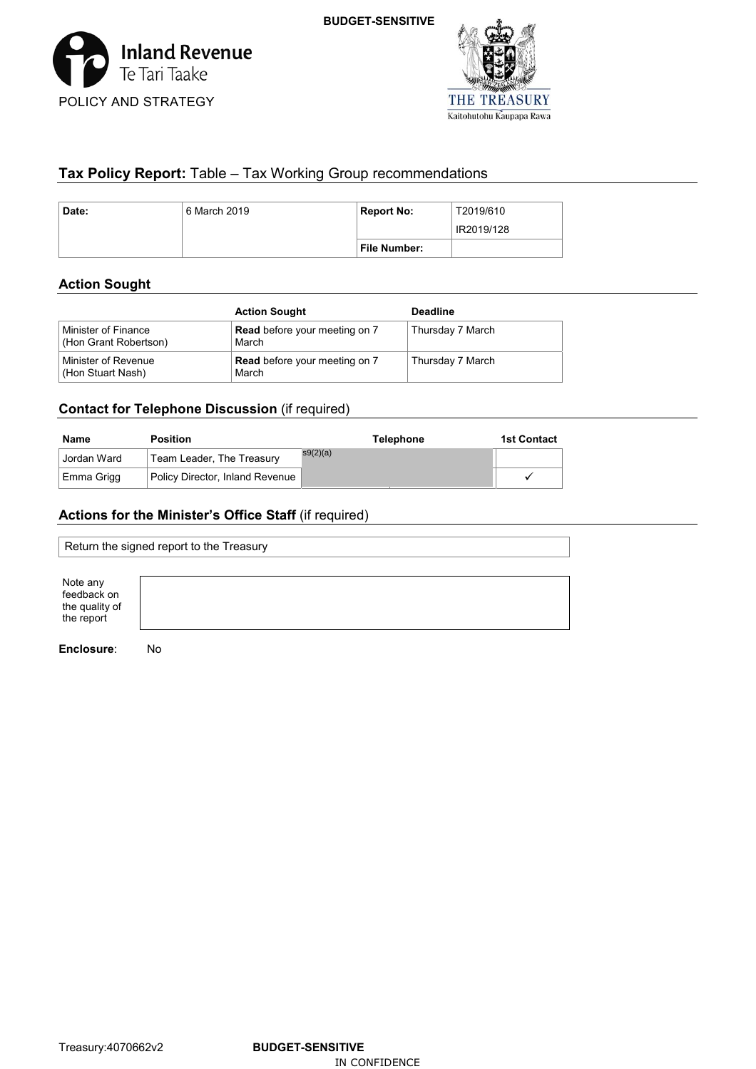



# **Tax Policy Report:** Table – Tax Working Group recommendations

| Date: | 6 March 2019 | <b>Report No:</b> | T2019/610  |
|-------|--------------|-------------------|------------|
|       |              |                   | IR2019/128 |
|       |              | File Number:      |            |

# **Action Sought**

|                                              | <b>Action Sought</b>                          | <b>Deadline</b>  |
|----------------------------------------------|-----------------------------------------------|------------------|
| Minister of Finance<br>(Hon Grant Robertson) | <b>Read</b> before your meeting on 7<br>March | Thursday 7 March |
| Minister of Revenue<br>(Hon Stuart Nash)     | <b>Read</b> before your meeting on 7<br>March | Thursday 7 March |

## **Contact for Telephone Discussion** (if required)

| Name        | <b>Position</b>                 | <b>Telephone</b> | <b>1st Contact</b> |
|-------------|---------------------------------|------------------|--------------------|
| Jordan Ward | Team Leader, The Treasury       | s9(2)(a)         |                    |
| Emma Grigg  | Policy Director, Inland Revenue |                  | $\cdot$            |

# **Actions for the Minister's Office Staff** (if required)

| Return the signed report to the Treasury                |  |  |
|---------------------------------------------------------|--|--|
| Note any<br>feedback on<br>the quality of<br>the report |  |  |

**Enclosure**: No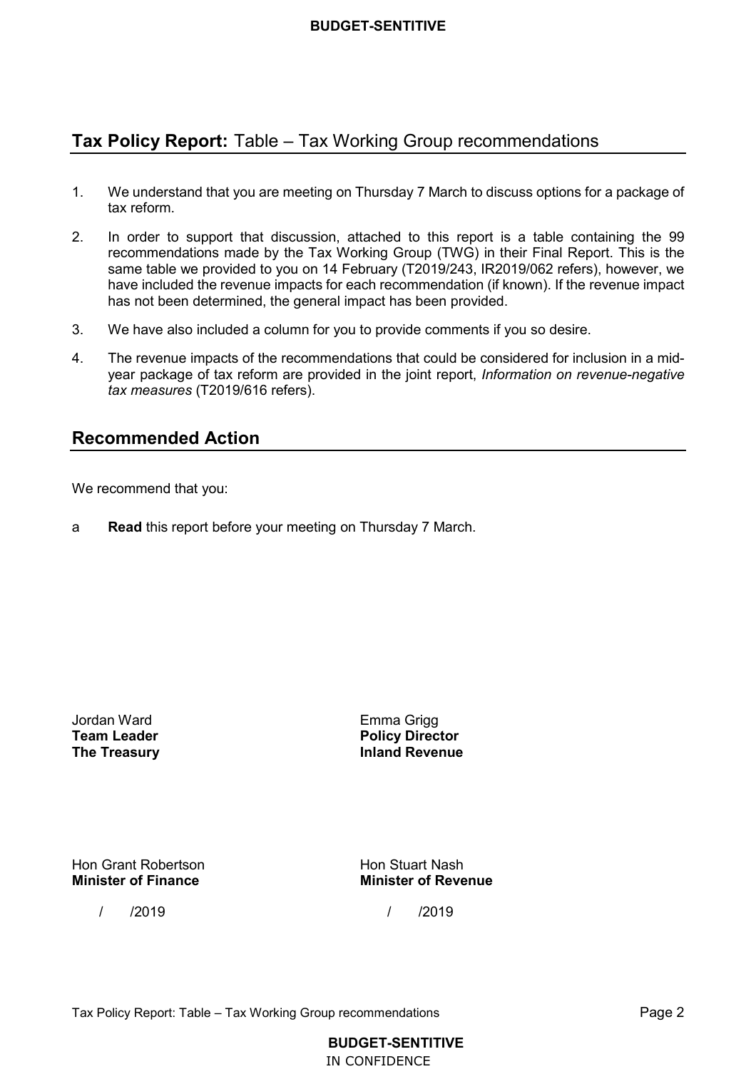## **Tax Policy Report:** Table – Tax Working Group recommendations

- $1<sup>1</sup>$  tax reform. We understand that you are meeting on Thursday 7 March to discuss options for a package of
- 2. In order to support that discussion, attached to this report is a table containing the 99 recommendations made by the Tax Working Group (TWG) in their Final Report. This is the same table we provided to you on 14 February (T2019/243, IR2019/062 refers), however, we have included the revenue impacts for each recommendation (if known). If the revenue impact has not been determined, the general impact has been provided.
- $3.$ We have also included a column for you to provide comments if you so desire.
- $\overline{4}$ . year package of tax reform are provided in the joint report, *Information on revenue-negative*  The revenue impacts of the recommendations that could be considered for inclusion in a mid*tax measures* (T2019/616 refers).

## **Recommended Action**

We recommend that you:

a **Read** this report before your meeting on Thursday 7 March.

**Team Leader** Jordan Ward Emma Grigg

 **The Treasury Inland Revenue Policy Director** 

Hon Grant Robertson **Hon Stuart Nash Minister of Finance** 

**Minister of Finance Minister of Revenue**

/ /2019 / /2019

**BUDGET-SENTITIVE** 

IN CONFIDENCE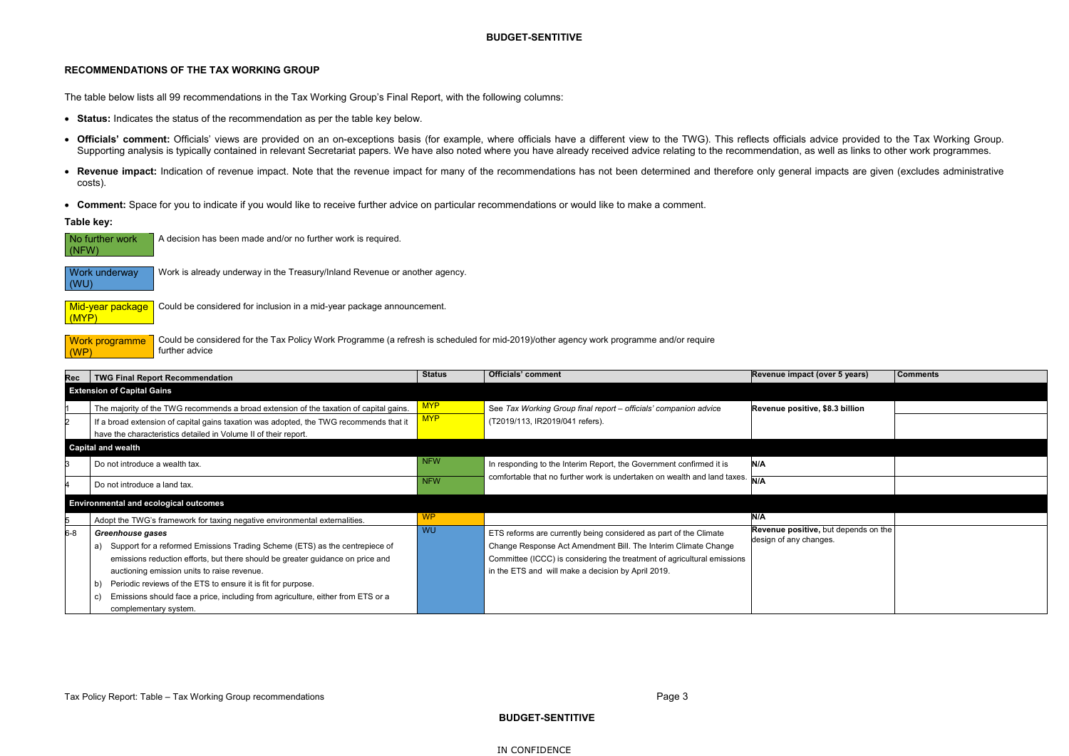#### **RECOMMENDATIONS OF THE TAX WORKING GROUP**

The table below lists all 99 recommendations in the Tax Working Group's Final Report, with the following columns:

- **Status:** Indicates the status of the recommendation as per the table key below.
- **Officials' comment:** Officials' views are provided on an on-exceptions basis (for example, where officials have a different view to the TWG). This reflects officials advice provided to the Tax Working Group. Supporting analysis is typically contained in relevant Secretariat papers. We have also noted where you have already received advice relating to the recommendation, as well as links to other work programmes.
- •Revenue impact: Indication of revenue impact. Note that the revenue impact for many of the recommendations has not been determined and therefore only general impacts are given (excludes administrative costs).

• **Comment:** Space for you to indicate if you would like to receive further advice on particular recommendations or would like to make <sup>a</sup> comment.

**Table key:**

Work is already underway in the Treasury/Inland Revenue or another agency.

Could be considered for inclusion in a mid-year package announcement.

Could be considered for the Tax Policy Work Programme (a refresh is scheduled for mid-2019)/other agency work programme and/or require further advice

**Mid-year package** (MYP)

| $\mid$ (NFW) | $\Box$ No further work $\Box$ A decision has been made and/or no further work is required. |
|--------------|--------------------------------------------------------------------------------------------|
|              |                                                                                            |

| Rec     | <b>TWG Final Report Recommendation</b>                                                 | <b>Status</b> | <b>Officials' comment</b>                                                | Revenue impact (over 5 years)        | <b>Comments</b> |
|---------|----------------------------------------------------------------------------------------|---------------|--------------------------------------------------------------------------|--------------------------------------|-----------------|
|         | <b>Extension of Capital Gains</b>                                                      |               |                                                                          |                                      |                 |
|         | The majority of the TWG recommends a broad extension of the taxation of capital gains. | <b>MYP</b>    | See Tax Working Group final report - officials' companion advice         | Revenue positive, \$8.3 billion      |                 |
|         | If a broad extension of capital gains taxation was adopted, the TWG recommends that it | <b>MYP</b>    | (T2019/113, IR2019/041 refers).                                          |                                      |                 |
|         | have the characteristics detailed in Volume II of their report.                        |               |                                                                          |                                      |                 |
|         | <b>Capital and wealth</b>                                                              |               |                                                                          |                                      |                 |
|         | Do not introduce a wealth tax.                                                         | <b>NFW</b>    | In responding to the Interim Report, the Government confirmed it is      | N/A                                  |                 |
|         | Do not introduce a land tax.                                                           | <b>NFW</b>    | comfortable that no further work is undertaken on wealth and land taxes. |                                      |                 |
|         | <b>Environmental and ecological outcomes</b>                                           |               |                                                                          |                                      |                 |
|         | Adopt the TWG's framework for taxing negative environmental externalities.             | <b>WP</b>     |                                                                          | N/A                                  |                 |
| $6 - 8$ | Greenhouse gases                                                                       | <b>WU</b>     | ETS reforms are currently being considered as part of the Climate        | Revenue positive, but depends on the |                 |
|         | Support for a reformed Emissions Trading Scheme (ETS) as the centrepiece of<br>a)      |               | Change Response Act Amendment Bill. The Interim Climate Change           | design of any changes.               |                 |
|         | emissions reduction efforts, but there should be greater guidance on price and         |               | Committee (ICCC) is considering the treatment of agricultural emissions  |                                      |                 |
|         | auctioning emission units to raise revenue.                                            |               | in the ETS and will make a decision by April 2019.                       |                                      |                 |
|         | Periodic reviews of the ETS to ensure it is fit for purpose.<br>b)                     |               |                                                                          |                                      |                 |
|         | Emissions should face a price, including from agriculture, either from ETS or a<br>C)  |               |                                                                          |                                      |                 |
|         | complementary system.                                                                  |               |                                                                          |                                      |                 |

Work underway (WU)

Work programme (WP)

**BUDGET-SENTITIVE** 

IN CONFIDENCE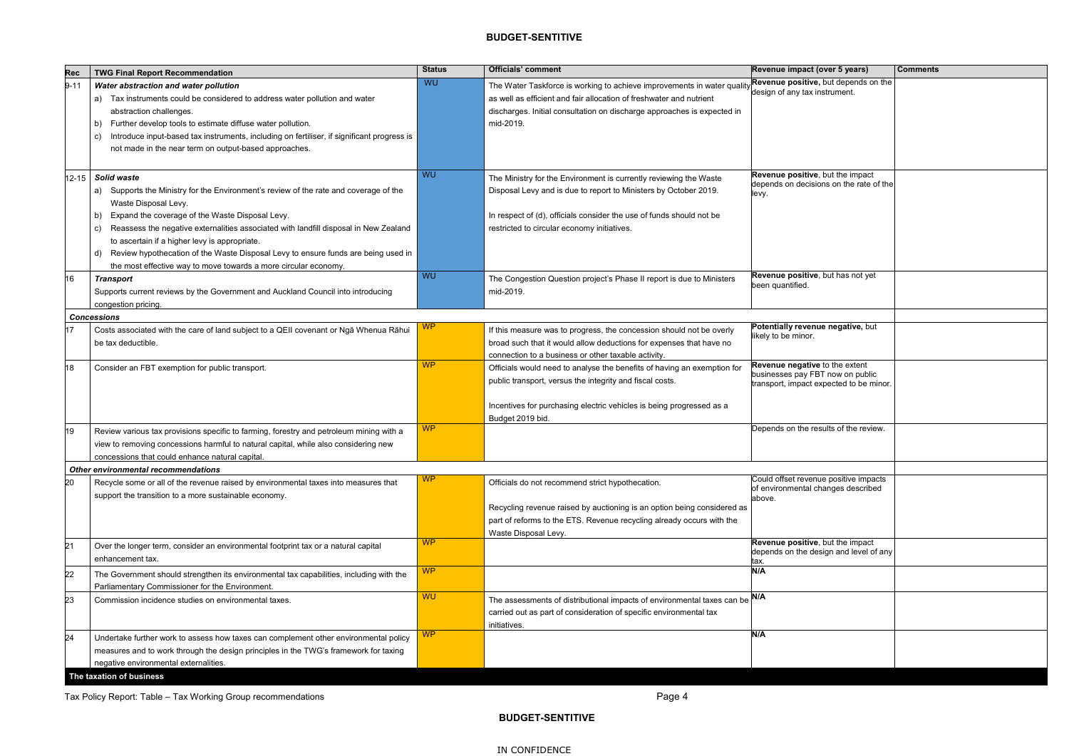| Rec       | <b>TWG Final Report Recommendation</b>                                                                                                                                                                                                                                                                                                                                                                                                                                                             | <b>Status</b> | <b>Officials' comment</b>                                                                                                                                                                                                                                    | Revenue impact (over 5 years)                                                                                 | <b>Comments</b> |
|-----------|----------------------------------------------------------------------------------------------------------------------------------------------------------------------------------------------------------------------------------------------------------------------------------------------------------------------------------------------------------------------------------------------------------------------------------------------------------------------------------------------------|---------------|--------------------------------------------------------------------------------------------------------------------------------------------------------------------------------------------------------------------------------------------------------------|---------------------------------------------------------------------------------------------------------------|-----------------|
| $9 - 11$  | Water abstraction and water pollution<br>a) Tax instruments could be considered to address water pollution and water<br>abstraction challenges.<br>Further develop tools to estimate diffuse water pollution.<br>b)<br>Introduce input-based tax instruments, including on fertiliser, if significant progress is<br>C)<br>not made in the near term on output-based approaches.                                                                                                                   | WU            | The Water Taskforce is working to achieve improvements in water qualit<br>as well as efficient and fair allocation of freshwater and nutrient<br>discharges. Initial consultation on discharge approaches is expected in<br>mid-2019.                        | Revenue positive, but depends on the<br>design of any tax instrument.                                         |                 |
| $12 - 15$ | Solid waste<br>a) Supports the Ministry for the Environment's review of the rate and coverage of the<br>Waste Disposal Levy.<br>Expand the coverage of the Waste Disposal Levy.<br>b)<br>Reassess the negative externalities associated with landfill disposal in New Zealand<br>C)<br>to ascertain if a higher levy is appropriate.<br>Review hypothecation of the Waste Disposal Levy to ensure funds are being used in<br>d)<br>the most effective way to move towards a more circular economy. | <b>WU</b>     | The Ministry for the Environment is currently reviewing the Waste<br>Disposal Levy and is due to report to Ministers by October 2019.<br>In respect of (d), officials consider the use of funds should not be<br>restricted to circular economy initiatives. | Revenue positive, but the impact<br>depends on decisions on the rate of the<br>levy.                          |                 |
| 16        | Transport<br>Supports current reviews by the Government and Auckland Council into introducing<br>congestion pricing.                                                                                                                                                                                                                                                                                                                                                                               | WU            | The Congestion Question project's Phase II report is due to Ministers<br>mid-2019.                                                                                                                                                                           | Revenue positive, but has not yet<br>been quantified.                                                         |                 |
|           | <b>Concessions</b>                                                                                                                                                                                                                                                                                                                                                                                                                                                                                 |               |                                                                                                                                                                                                                                                              |                                                                                                               |                 |
| 17        | Costs associated with the care of land subject to a QEII covenant or Ngā Whenua Rāhui<br>be tax deductible.                                                                                                                                                                                                                                                                                                                                                                                        | <b>WP</b>     | If this measure was to progress, the concession should not be overly<br>broad such that it would allow deductions for expenses that have no<br>connection to a business or other taxable activity.                                                           | Potentially revenue negative, but<br>likely to be minor.                                                      |                 |
| 18        | Consider an FBT exemption for public transport.                                                                                                                                                                                                                                                                                                                                                                                                                                                    | <b>WP</b>     | Officials would need to analyse the benefits of having an exemption for<br>public transport, versus the integrity and fiscal costs.<br>Incentives for purchasing electric vehicles is being progressed as a<br>Budget 2019 bid.                              | Revenue negative to the extent<br>businesses pay FBT now on public<br>transport, impact expected to be minor. |                 |
| 19        | Review various tax provisions specific to farming, forestry and petroleum mining with a<br>view to removing concessions harmful to natural capital, while also considering new<br>concessions that could enhance natural capital.                                                                                                                                                                                                                                                                  | <b>WP</b>     |                                                                                                                                                                                                                                                              | Depends on the results of the review.                                                                         |                 |
|           | <b>Other environmental recommendations</b>                                                                                                                                                                                                                                                                                                                                                                                                                                                         |               |                                                                                                                                                                                                                                                              |                                                                                                               |                 |
| 20        | Recycle some or all of the revenue raised by environmental taxes into measures that<br>support the transition to a more sustainable economy.                                                                                                                                                                                                                                                                                                                                                       | <b>WP</b>     | Officials do not recommend strict hypothecation.<br>Recycling revenue raised by auctioning is an option being considered as<br>part of reforms to the ETS. Revenue recycling already occurs with the<br>Waste Disposal Levy.                                 | Could offset revenue positive impacts<br>of environmental changes described<br>above.                         |                 |
| 21        | Over the longer term, consider an environmental footprint tax or a natural capital<br>enhancement tax.                                                                                                                                                                                                                                                                                                                                                                                             | <b>WP</b>     |                                                                                                                                                                                                                                                              | Revenue positive, but the impact<br>depends on the design and level of any<br>tax.                            |                 |
| 22        | The Government should strengthen its environmental tax capabilities, including with the<br>Parliamentary Commissioner for the Environment.                                                                                                                                                                                                                                                                                                                                                         | <b>WP</b>     |                                                                                                                                                                                                                                                              | N/A                                                                                                           |                 |
| 23        | Commission incidence studies on environmental taxes.                                                                                                                                                                                                                                                                                                                                                                                                                                               | <b>WU</b>     | The assessments of distributional impacts of environmental taxes can be N/A<br>carried out as part of consideration of specific environmental tax<br>initiatives.                                                                                            |                                                                                                               |                 |
| 24        | Undertake further work to assess how taxes can complement other environmental policy<br>measures and to work through the design principles in the TWG's framework for taxing<br>negative environmental externalities.                                                                                                                                                                                                                                                                              | WP            |                                                                                                                                                                                                                                                              | N/A                                                                                                           |                 |
|           | The taxation of business                                                                                                                                                                                                                                                                                                                                                                                                                                                                           |               |                                                                                                                                                                                                                                                              |                                                                                                               |                 |

| Revenue impact (over 5 years)                                                             | <b>Comments</b> |
|-------------------------------------------------------------------------------------------|-----------------|
| Revenue positive, but depends on the<br>design of any tax instrument.                     |                 |
|                                                                                           |                 |
|                                                                                           |                 |
|                                                                                           |                 |
|                                                                                           |                 |
|                                                                                           |                 |
| Revenue positive, but the impact<br>depends on decisions on the rate of the<br>levy.      |                 |
|                                                                                           |                 |
|                                                                                           |                 |
|                                                                                           |                 |
|                                                                                           |                 |
| Revenue positive, but has not yet<br>been quantified.                                     |                 |
|                                                                                           |                 |
| Potentially revenue negative, but                                                         |                 |
| likely to be minor.                                                                       |                 |
| Revenue negative to the extent<br>businesses pay FBT now on public                        |                 |
| transport, impact expected to be minor.                                                   |                 |
|                                                                                           |                 |
| Depends on the results of the review.                                                     |                 |
|                                                                                           |                 |
| Could offset revenue positive impacts<br>of environmental changes described<br>above.     |                 |
|                                                                                           |                 |
| Revenue positive, but the impact<br>depends on the design and level of any<br><u>tax.</u> |                 |
| N/A                                                                                       |                 |
| N/A                                                                                       |                 |
|                                                                                           |                 |
| N/A                                                                                       |                 |
|                                                                                           |                 |
|                                                                                           |                 |

Tax Policy Report: Table – Tax Working Group recommendations Page 4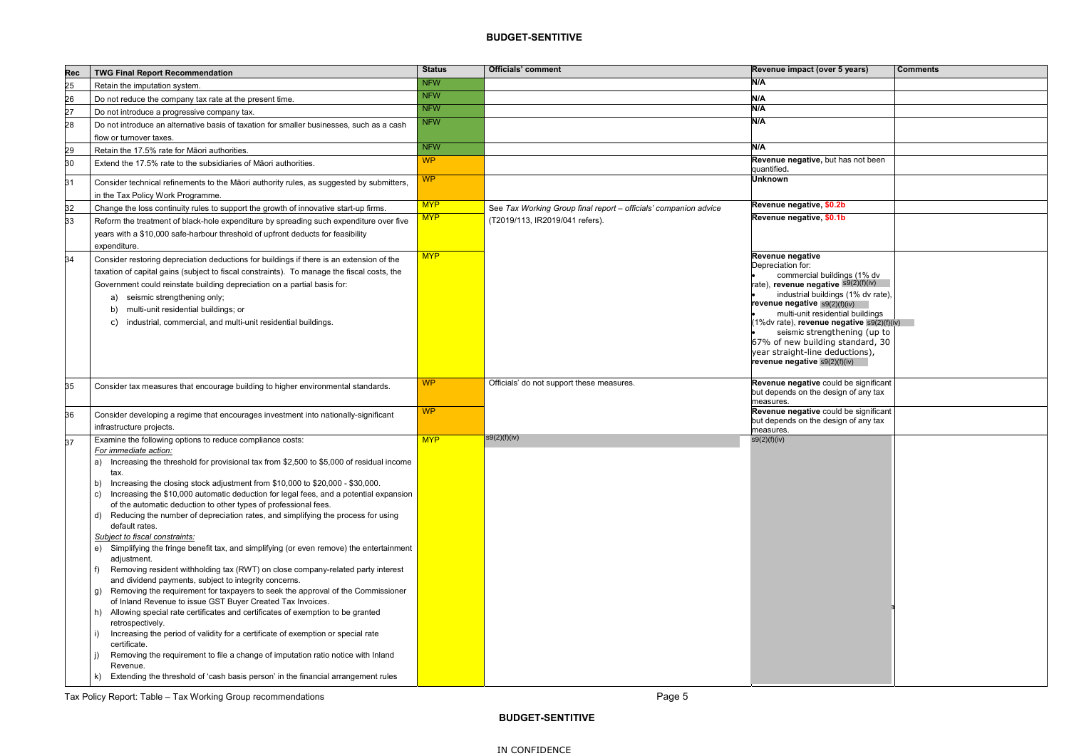| <b>Rec</b> | <b>TWG Final Report Recommendation</b>                                                                                                                                                                                                                                                                                                                                                                                                                                                                                                                                                                                                                                                                                                                                                                                                                                                                                                                                                                                                                                                                                                                                                                                                                                                                                                                                                                           | <b>Status</b> | <b>Officials' comment</b>                                        | Revenue impact (over 5 years)                                                                                                                                                                                                                                                                                                                                                                                   | <b>Comments</b> |
|------------|------------------------------------------------------------------------------------------------------------------------------------------------------------------------------------------------------------------------------------------------------------------------------------------------------------------------------------------------------------------------------------------------------------------------------------------------------------------------------------------------------------------------------------------------------------------------------------------------------------------------------------------------------------------------------------------------------------------------------------------------------------------------------------------------------------------------------------------------------------------------------------------------------------------------------------------------------------------------------------------------------------------------------------------------------------------------------------------------------------------------------------------------------------------------------------------------------------------------------------------------------------------------------------------------------------------------------------------------------------------------------------------------------------------|---------------|------------------------------------------------------------------|-----------------------------------------------------------------------------------------------------------------------------------------------------------------------------------------------------------------------------------------------------------------------------------------------------------------------------------------------------------------------------------------------------------------|-----------------|
| 25         | Retain the imputation system.                                                                                                                                                                                                                                                                                                                                                                                                                                                                                                                                                                                                                                                                                                                                                                                                                                                                                                                                                                                                                                                                                                                                                                                                                                                                                                                                                                                    | <b>NFW</b>    |                                                                  | N/A                                                                                                                                                                                                                                                                                                                                                                                                             |                 |
| 26         | Do not reduce the company tax rate at the present time.                                                                                                                                                                                                                                                                                                                                                                                                                                                                                                                                                                                                                                                                                                                                                                                                                                                                                                                                                                                                                                                                                                                                                                                                                                                                                                                                                          | <b>NFW</b>    |                                                                  | N/A                                                                                                                                                                                                                                                                                                                                                                                                             |                 |
| 27         | Do not introduce a progressive company tax.                                                                                                                                                                                                                                                                                                                                                                                                                                                                                                                                                                                                                                                                                                                                                                                                                                                                                                                                                                                                                                                                                                                                                                                                                                                                                                                                                                      | <b>NFW</b>    |                                                                  | N/A                                                                                                                                                                                                                                                                                                                                                                                                             |                 |
| 28         | Do not introduce an alternative basis of taxation for smaller businesses, such as a cash                                                                                                                                                                                                                                                                                                                                                                                                                                                                                                                                                                                                                                                                                                                                                                                                                                                                                                                                                                                                                                                                                                                                                                                                                                                                                                                         | <b>NFW</b>    |                                                                  | N/A                                                                                                                                                                                                                                                                                                                                                                                                             |                 |
|            | flow or turnover taxes.                                                                                                                                                                                                                                                                                                                                                                                                                                                                                                                                                                                                                                                                                                                                                                                                                                                                                                                                                                                                                                                                                                                                                                                                                                                                                                                                                                                          |               |                                                                  |                                                                                                                                                                                                                                                                                                                                                                                                                 |                 |
| 29         | Retain the 17.5% rate for Māori authorities.                                                                                                                                                                                                                                                                                                                                                                                                                                                                                                                                                                                                                                                                                                                                                                                                                                                                                                                                                                                                                                                                                                                                                                                                                                                                                                                                                                     | <b>NFW</b>    |                                                                  | N/A                                                                                                                                                                                                                                                                                                                                                                                                             |                 |
| 30         | Extend the 17.5% rate to the subsidiaries of Maori authorities.                                                                                                                                                                                                                                                                                                                                                                                                                                                                                                                                                                                                                                                                                                                                                                                                                                                                                                                                                                                                                                                                                                                                                                                                                                                                                                                                                  | <b>WP</b>     |                                                                  | Revenue negative, but has not been<br>quantified.                                                                                                                                                                                                                                                                                                                                                               |                 |
| 31         | Consider technical refinements to the Māori authority rules, as suggested by submitters,<br>in the Tax Policy Work Programme.                                                                                                                                                                                                                                                                                                                                                                                                                                                                                                                                                                                                                                                                                                                                                                                                                                                                                                                                                                                                                                                                                                                                                                                                                                                                                    | <b>WP</b>     |                                                                  | <b>Unknown</b>                                                                                                                                                                                                                                                                                                                                                                                                  |                 |
| 32         | Change the loss continuity rules to support the growth of innovative start-up firms.                                                                                                                                                                                                                                                                                                                                                                                                                                                                                                                                                                                                                                                                                                                                                                                                                                                                                                                                                                                                                                                                                                                                                                                                                                                                                                                             | <b>MYP</b>    | See Tax Working Group final report - officials' companion advice | Revenue negative, \$0.2b                                                                                                                                                                                                                                                                                                                                                                                        |                 |
| 33         | Reform the treatment of black-hole expenditure by spreading such expenditure over five<br>years with a \$10,000 safe-harbour threshold of upfront deducts for feasibility<br>expenditure.                                                                                                                                                                                                                                                                                                                                                                                                                                                                                                                                                                                                                                                                                                                                                                                                                                                                                                                                                                                                                                                                                                                                                                                                                        | <b>MYP</b>    | (T2019/113, IR2019/041 refers).                                  | Revenue negative, \$0.1b                                                                                                                                                                                                                                                                                                                                                                                        |                 |
| 34         | Consider restoring depreciation deductions for buildings if there is an extension of the<br>taxation of capital gains (subject to fiscal constraints). To manage the fiscal costs, the<br>Government could reinstate building depreciation on a partial basis for:<br>seismic strengthening only;<br>a)<br>multi-unit residential buildings; or<br>industrial, commercial, and multi-unit residential buildings.<br>C)                                                                                                                                                                                                                                                                                                                                                                                                                                                                                                                                                                                                                                                                                                                                                                                                                                                                                                                                                                                           | <b>MYP</b>    |                                                                  | Revenue negative<br>Depreciation for:<br>commercial buildings (1% dv<br>rate), revenue negative s9(2)(f)(iv)<br>industrial buildings (1% dv rate),<br>revenue negative $s9(2)(f)(iv)$<br>multi-unit residential buildings<br>(1%dv rate), revenue negative s9(2)(f)(iv)<br>seismic strengthening (up to<br>67% of new building standard, 30<br>year straight-line deductions),<br>revenue negative s9(2)(f)(iv) |                 |
| 35         | Consider tax measures that encourage building to higher environmental standards.                                                                                                                                                                                                                                                                                                                                                                                                                                                                                                                                                                                                                                                                                                                                                                                                                                                                                                                                                                                                                                                                                                                                                                                                                                                                                                                                 | <b>WP</b>     | Officials' do not support these measures.                        | Revenue negative could be significant<br>but depends on the design of any tax<br>measures.                                                                                                                                                                                                                                                                                                                      |                 |
| 36         | Consider developing a regime that encourages investment into nationally-significant<br>infrastructure projects.                                                                                                                                                                                                                                                                                                                                                                                                                                                                                                                                                                                                                                                                                                                                                                                                                                                                                                                                                                                                                                                                                                                                                                                                                                                                                                  | <b>WP</b>     |                                                                  | Revenue negative could be significant<br>but depends on the design of any tax<br>measures.                                                                                                                                                                                                                                                                                                                      |                 |
| 37         | Examine the following options to reduce compliance costs:<br>For immediate action:<br>a) Increasing the threshold for provisional tax from \$2,500 to \$5,000 of residual income<br>tax.<br>Increasing the closing stock adjustment from \$10,000 to \$20,000 - \$30,000.<br>b)<br>Increasing the \$10,000 automatic deduction for legal fees, and a potential expansion<br>C)<br>of the automatic deduction to other types of professional fees.<br>Reducing the number of depreciation rates, and simplifying the process for using<br>d)<br>default rates.<br>Subject to fiscal constraints:<br>e) Simplifying the fringe benefit tax, and simplifying (or even remove) the entertainment<br>adjustment.<br>Removing resident withholding tax (RWT) on close company-related party interest<br>and dividend payments, subject to integrity concerns.<br>Removing the requirement for taxpayers to seek the approval of the Commissioner<br>g)<br>of Inland Revenue to issue GST Buyer Created Tax Invoices.<br>h) Allowing special rate certificates and certificates of exemption to be granted<br>retrospectively.<br>Increasing the period of validity for a certificate of exemption or special rate<br>certificate.<br>Removing the requirement to file a change of imputation ratio notice with Inland<br>Revenue.<br>Extending the threshold of 'cash basis person' in the financial arrangement rules | <b>MYP</b>    | s9(2)(f)(iv)                                                     | s9(2)(f)(iv)                                                                                                                                                                                                                                                                                                                                                                                                    |                 |

Tax Policy Report: Table – Tax Working Group recommendations **Page 1** Page 5

| Revenue impact (over 5 years)                                                                                                                                                                                                                                                                                                                                                                                        | <b>Comments</b> |
|----------------------------------------------------------------------------------------------------------------------------------------------------------------------------------------------------------------------------------------------------------------------------------------------------------------------------------------------------------------------------------------------------------------------|-----------------|
| N/A                                                                                                                                                                                                                                                                                                                                                                                                                  |                 |
| N/A                                                                                                                                                                                                                                                                                                                                                                                                                  |                 |
| N/A                                                                                                                                                                                                                                                                                                                                                                                                                  |                 |
| N/A                                                                                                                                                                                                                                                                                                                                                                                                                  |                 |
| N/A                                                                                                                                                                                                                                                                                                                                                                                                                  |                 |
| Revenue negative, but has not been<br>quantified.                                                                                                                                                                                                                                                                                                                                                                    |                 |
| <b>Unknown</b>                                                                                                                                                                                                                                                                                                                                                                                                       |                 |
| Revenue negative, \$0.2b                                                                                                                                                                                                                                                                                                                                                                                             |                 |
| Revenue negative, \$0.1b                                                                                                                                                                                                                                                                                                                                                                                             |                 |
|                                                                                                                                                                                                                                                                                                                                                                                                                      |                 |
| <b>Revenue negative</b><br>Depreciation for:<br>commercial buildings (1% dv<br>rate), revenue negative S9(2)(f)(iv)<br>industrial buildings (1% dv rate),<br>revenue negative s9(2)(f)(iv)<br>multi-unit residential buildings<br>(1%dv rate), revenue negative s9(2)(f)(iv)<br>seismic strengthening (up to<br>67% of new building standard, 30<br>year straight-line deductions),<br>revenue negative s9(2)(f)(iv) |                 |
| Revenue negative could be significant<br>but depends on the design of any tax<br>measures.                                                                                                                                                                                                                                                                                                                           |                 |
| Revenue negative could be significant<br>but depends on the design of any tax<br>measures.                                                                                                                                                                                                                                                                                                                           |                 |
| s9(2)(f)(iv)                                                                                                                                                                                                                                                                                                                                                                                                         |                 |
|                                                                                                                                                                                                                                                                                                                                                                                                                      |                 |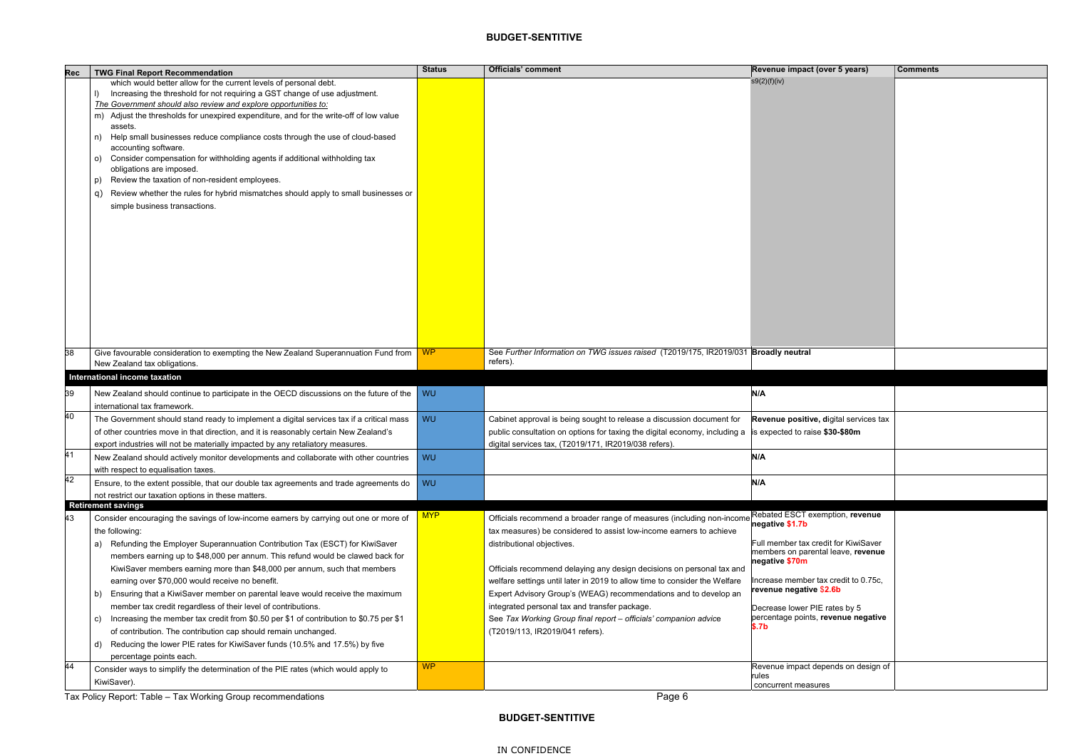| Rec | <b>TWG Final Report Recommendation</b>                                                                     | <b>Status</b> | <b>Officials' comment</b>                                                           | Revenue impact (over 5 years)                                              | <b>Comments</b> |
|-----|------------------------------------------------------------------------------------------------------------|---------------|-------------------------------------------------------------------------------------|----------------------------------------------------------------------------|-----------------|
|     | which would better allow for the current levels of personal debt.                                          |               |                                                                                     | s9(2)(f)(iv)                                                               |                 |
|     | Increasing the threshold for not requiring a GST change of use adjustment.                                 |               |                                                                                     |                                                                            |                 |
|     | The Government should also review and explore opportunities to:                                            |               |                                                                                     |                                                                            |                 |
|     | m) Adjust the thresholds for unexpired expenditure, and for the write-off of low value                     |               |                                                                                     |                                                                            |                 |
|     | assets.                                                                                                    |               |                                                                                     |                                                                            |                 |
|     | Help small businesses reduce compliance costs through the use of cloud-based<br>n)<br>accounting software. |               |                                                                                     |                                                                            |                 |
|     | Consider compensation for withholding agents if additional withholding tax<br>O)                           |               |                                                                                     |                                                                            |                 |
|     | obligations are imposed.                                                                                   |               |                                                                                     |                                                                            |                 |
|     | Review the taxation of non-resident employees.<br>p)                                                       |               |                                                                                     |                                                                            |                 |
|     | Review whether the rules for hybrid mismatches should apply to small businesses or<br>q)                   |               |                                                                                     |                                                                            |                 |
|     | simple business transactions.                                                                              |               |                                                                                     |                                                                            |                 |
|     |                                                                                                            |               |                                                                                     |                                                                            |                 |
|     |                                                                                                            |               |                                                                                     |                                                                            |                 |
|     |                                                                                                            |               |                                                                                     |                                                                            |                 |
|     |                                                                                                            |               |                                                                                     |                                                                            |                 |
|     |                                                                                                            |               |                                                                                     |                                                                            |                 |
|     |                                                                                                            |               |                                                                                     |                                                                            |                 |
|     |                                                                                                            |               |                                                                                     |                                                                            |                 |
|     |                                                                                                            |               |                                                                                     |                                                                            |                 |
|     |                                                                                                            |               |                                                                                     |                                                                            |                 |
|     |                                                                                                            |               |                                                                                     |                                                                            |                 |
|     |                                                                                                            |               |                                                                                     |                                                                            |                 |
| 38  | Give favourable consideration to exempting the New Zealand Superannuation Fund from                        | <b>WP</b>     | See Further Information on TWG issues raised (T2019/175, IR2019/031 Broadly neutral |                                                                            |                 |
|     | New Zealand tax obligations.                                                                               |               | refers).                                                                            |                                                                            |                 |
|     | International income taxation                                                                              |               |                                                                                     |                                                                            |                 |
| 39  | New Zealand should continue to participate in the OECD discussions on the future of the                    | WU            |                                                                                     | N/A                                                                        |                 |
|     |                                                                                                            |               |                                                                                     |                                                                            |                 |
| 40  | international tax framework.                                                                               |               |                                                                                     |                                                                            |                 |
|     | The Government should stand ready to implement a digital services tax if a critical mass                   | WU            | Cabinet approval is being sought to release a discussion document for               | Revenue positive, digital services tax                                     |                 |
|     | of other countries move in that direction, and it is reasonably certain New Zealand's                      |               | public consultation on options for taxing the digital economy, including a          | is expected to raise \$30-\$80m                                            |                 |
| 41  | export industries will not be materially impacted by any retaliatory measures.                             |               | digital services tax, (T2019/171, IR2019/038 refers)                                |                                                                            |                 |
|     | New Zealand should actively monitor developments and collaborate with other countries                      | WU            |                                                                                     | N/A                                                                        |                 |
|     | with respect to equalisation taxes.                                                                        |               |                                                                                     |                                                                            |                 |
| 42  | Ensure, to the extent possible, that our double tax agreements and trade agreements do                     | WU            |                                                                                     | N/A                                                                        |                 |
|     | not restrict our taxation options in these matters.                                                        |               |                                                                                     |                                                                            |                 |
|     | <b>Retirement savings</b>                                                                                  | <b>MYP</b>    |                                                                                     | Rebated ESCT exemption, revenue                                            |                 |
| 43  | Consider encouraging the savings of low-income earners by carrying out one or more of                      |               | Officials recommend a broader range of measures (including non-income               | negative \$1.7b                                                            |                 |
|     | the following:                                                                                             |               | tax measures) be considered to assist low-income earners to achieve                 |                                                                            |                 |
|     | a) Refunding the Employer Superannuation Contribution Tax (ESCT) for KiwiSaver                             |               | distributional objectives.                                                          | Full member tax credit for KiwiSaver<br>members on parental leave, revenue |                 |
|     | members earning up to \$48,000 per annum. This refund would be clawed back for                             |               |                                                                                     | negative \$70m                                                             |                 |
|     | KiwiSaver members earning more than \$48,000 per annum, such that members                                  |               | Officials recommend delaying any design decisions on personal tax and               |                                                                            |                 |
|     | earning over \$70,000 would receive no benefit.                                                            |               | welfare settings until later in 2019 to allow time to consider the Welfare          | Increase member tax credit to 0.75c,                                       |                 |
|     | b) Ensuring that a KiwiSaver member on parental leave would receive the maximum                            |               | Expert Advisory Group's (WEAG) recommendations and to develop an                    | revenue negative \$2.6b                                                    |                 |
|     | member tax credit regardless of their level of contributions.                                              |               | integrated personal tax and transfer package.                                       | Decrease lower PIE rates by 5                                              |                 |
|     | Increasing the member tax credit from \$0.50 per \$1 of contribution to \$0.75 per \$1<br>C)               |               | See Tax Working Group final report - officials' companion advice                    | percentage points, revenue negative                                        |                 |
|     | of contribution. The contribution cap should remain unchanged.                                             |               | (T2019/113, IR2019/041 refers).                                                     | \$.7b                                                                      |                 |
|     | Reducing the lower PIE rates for KiwiSaver funds (10.5% and 17.5%) by five<br>d)                           |               |                                                                                     |                                                                            |                 |
|     | percentage points each.                                                                                    |               |                                                                                     |                                                                            |                 |
| 44  | Consider ways to simplify the determination of the PIE rates (which would apply to                         | <b>WP</b>     |                                                                                     | Revenue impact depends on design of                                        |                 |
|     | KiwiSaver).                                                                                                |               |                                                                                     | rules<br>concurrent measures                                               |                 |
|     |                                                                                                            |               |                                                                                     |                                                                            |                 |

Tax Policy Report: Table – Tax Working Group recommendations **Provides and Contact Contact Contact Page 6** Page 6

| Revenue impact (over 5 years)                            | <b>Comments</b> |
|----------------------------------------------------------|-----------------|
| s9(2)(f)(iv)                                             |                 |
|                                                          |                 |
|                                                          |                 |
|                                                          |                 |
|                                                          |                 |
|                                                          |                 |
|                                                          |                 |
|                                                          |                 |
|                                                          |                 |
|                                                          |                 |
|                                                          |                 |
|                                                          |                 |
|                                                          |                 |
|                                                          |                 |
|                                                          |                 |
|                                                          |                 |
|                                                          |                 |
|                                                          |                 |
|                                                          |                 |
|                                                          |                 |
| <b>Broadly neutral</b>                                   |                 |
|                                                          |                 |
| N/A                                                      |                 |
|                                                          |                 |
| Revenue positive, digital services tax                   |                 |
| is expected to raise \$30-\$80m                          |                 |
|                                                          |                 |
| N/A                                                      |                 |
|                                                          |                 |
| N/A                                                      |                 |
|                                                          |                 |
| Rebated ESCT exemption, revenue                          |                 |
| negative \$1.7b                                          |                 |
| Full member tax credit for KiwiSaver                     |                 |
| members on parental leave, revenue                       |                 |
| negative \$70m                                           |                 |
| Increase member tax credit to 0.75c,                     |                 |
| revenue negative \$2.6b                                  |                 |
| Decrease lower PIE rates by 5                            |                 |
| percentage points, revenue negative<br>\$.7 <sub>b</sub> |                 |
|                                                          |                 |
|                                                          |                 |
| Revenue impact depends on design of                      |                 |
| rules                                                    |                 |
| concurrent measures                                      |                 |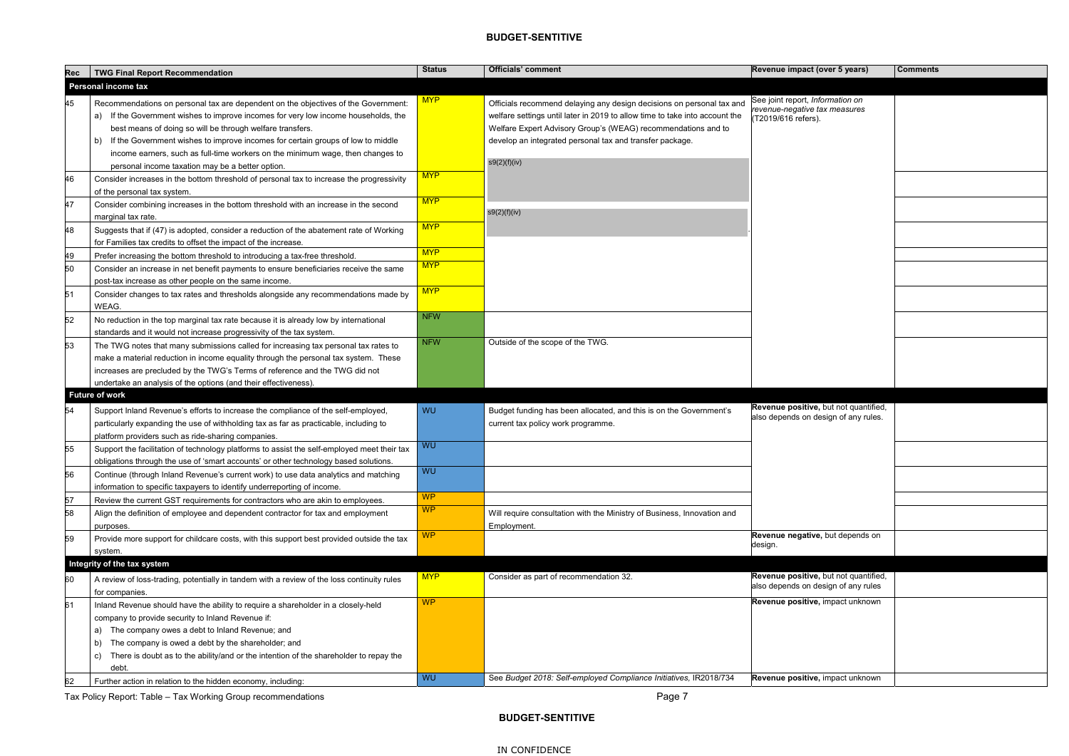| Revenue impact (over 5 years)                                                            | <b>Comments</b> |
|------------------------------------------------------------------------------------------|-----------------|
|                                                                                          |                 |
| See joint report, Information on<br>revenue-negative tax measures<br>(T2019/616 refers). |                 |
|                                                                                          |                 |
|                                                                                          |                 |
|                                                                                          |                 |
|                                                                                          |                 |
|                                                                                          |                 |
|                                                                                          |                 |
|                                                                                          |                 |
|                                                                                          |                 |
|                                                                                          |                 |
|                                                                                          |                 |
| Revenue positive, but not quantified,<br>also depends on design of any rules.            |                 |
|                                                                                          |                 |
|                                                                                          |                 |
|                                                                                          |                 |
|                                                                                          |                 |
| Revenue negative, but depends on<br>design.                                              |                 |
|                                                                                          |                 |
| Revenue positive, but not quantified,<br>also depends on design of any rules             |                 |
| Revenue positive, impact unknown                                                         |                 |
|                                                                                          |                 |
| Revenue positive, impact unknown                                                         |                 |
|                                                                                          |                 |

| <b>Rec</b> | <b>TWG Final Report Recommendation</b>                                                      | <b>Status</b> | <b>Officials' comment</b>                                                   | Revenue impact (over 5 years)         | <b>Comments</b> |
|------------|---------------------------------------------------------------------------------------------|---------------|-----------------------------------------------------------------------------|---------------------------------------|-----------------|
|            | Personal income tax                                                                         |               |                                                                             |                                       |                 |
|            |                                                                                             | <b>MYP</b>    |                                                                             | See joint report, Information on      |                 |
| 45         | Recommendations on personal tax are dependent on the objectives of the Government:          |               | Officials recommend delaying any design decisions on personal tax and       | revenue-negative tax measures         |                 |
|            | a) If the Government wishes to improve incomes for very low income households, the          |               | welfare settings until later in 2019 to allow time to take into account the | (T2019/616 refers).                   |                 |
|            | best means of doing so will be through welfare transfers.                                   |               | Welfare Expert Advisory Group's (WEAG) recommendations and to               |                                       |                 |
|            | If the Government wishes to improve incomes for certain groups of low to middle<br>b)       |               | develop an integrated personal tax and transfer package.                    |                                       |                 |
|            | income earners, such as full-time workers on the minimum wage, then changes to              |               | s9(2)(f)(iv)                                                                |                                       |                 |
|            | personal income taxation may be a better option.                                            | <b>MYP</b>    |                                                                             |                                       |                 |
| 46         | Consider increases in the bottom threshold of personal tax to increase the progressivity    |               |                                                                             |                                       |                 |
|            | of the personal tax system.                                                                 | <b>MYP</b>    |                                                                             |                                       |                 |
| 47         | Consider combining increases in the bottom threshold with an increase in the second         |               | s9(2)(f)(iv)                                                                |                                       |                 |
|            | marginal tax rate.                                                                          | <b>MYP</b>    |                                                                             |                                       |                 |
| 48         | Suggests that if (47) is adopted, consider a reduction of the abatement rate of Working     |               |                                                                             |                                       |                 |
|            | for Families tax credits to offset the impact of the increase.                              |               |                                                                             |                                       |                 |
| 49         | Prefer increasing the bottom threshold to introducing a tax-free threshold.                 | <b>MYP</b>    |                                                                             |                                       |                 |
| 50         | Consider an increase in net benefit payments to ensure beneficiaries receive the same       | <b>MYP</b>    |                                                                             |                                       |                 |
|            | post-tax increase as other people on the same income.                                       |               |                                                                             |                                       |                 |
| 51         | Consider changes to tax rates and thresholds alongside any recommendations made by          | <b>MYP</b>    |                                                                             |                                       |                 |
|            | WEAG.                                                                                       |               |                                                                             |                                       |                 |
| 52         | No reduction in the top marginal tax rate because it is already low by international        | <b>NFW</b>    |                                                                             |                                       |                 |
|            | standards and it would not increase progressivity of the tax system.                        |               |                                                                             |                                       |                 |
| 53         | The TWG notes that many submissions called for increasing tax personal tax rates to         | <b>NFW</b>    | Outside of the scope of the TWG.                                            |                                       |                 |
|            | make a material reduction in income equality through the personal tax system. These         |               |                                                                             |                                       |                 |
|            | increases are precluded by the TWG's Terms of reference and the TWG did not                 |               |                                                                             |                                       |                 |
|            | undertake an analysis of the options (and their effectiveness).                             |               |                                                                             |                                       |                 |
|            | <b>Future of work</b>                                                                       |               |                                                                             |                                       |                 |
| 54         | Support Inland Revenue's efforts to increase the compliance of the self-employed,           | <b>WU</b>     | Budget funding has been allocated, and this is on the Government's          | Revenue positive, but not quantified, |                 |
|            | particularly expanding the use of withholding tax as far as practicable, including to       |               | current tax policy work programme.                                          | also depends on design of any rules.  |                 |
|            | platform providers such as ride-sharing companies.                                          |               |                                                                             |                                       |                 |
| 55         | Support the facilitation of technology platforms to assist the self-employed meet their tax | <b>WU</b>     |                                                                             |                                       |                 |
|            | obligations through the use of 'smart accounts' or other technology based solutions.        |               |                                                                             |                                       |                 |
| 56         | Continue (through Inland Revenue's current work) to use data analytics and matching         | <b>WU</b>     |                                                                             |                                       |                 |
|            | information to specific taxpayers to identify underreporting of income.                     |               |                                                                             |                                       |                 |
| 57         | Review the current GST requirements for contractors who are akin to employees.              | <b>WP</b>     |                                                                             |                                       |                 |
| 58         | Align the definition of employee and dependent contractor for tax and employment            | <b>WP</b>     | Will require consultation with the Ministry of Business, Innovation and     |                                       |                 |
|            | purposes.                                                                                   |               | Employment.                                                                 |                                       |                 |
| 59         | Provide more support for childcare costs, with this support best provided outside the tax   | <b>WP</b>     |                                                                             | Revenue negative, but depends on      |                 |
|            | system.                                                                                     |               |                                                                             | design.                               |                 |
|            | Integrity of the tax system                                                                 |               |                                                                             |                                       |                 |
|            |                                                                                             | <b>MYP</b>    | Consider as part of recommendation 32.                                      | Revenue positive, but not quantified, |                 |
| 60         | A review of loss-trading, potentially in tandem with a review of the loss continuity rules  |               |                                                                             | also depends on design of any rules   |                 |
|            | for companies.                                                                              | <b>WP</b>     |                                                                             | Revenue positive, impact unknown      |                 |
| 61         | Inland Revenue should have the ability to require a shareholder in a closely-held           |               |                                                                             |                                       |                 |
|            | company to provide security to Inland Revenue if:                                           |               |                                                                             |                                       |                 |
|            | The company owes a debt to Inland Revenue; and<br>a)                                        |               |                                                                             |                                       |                 |
|            | The company is owed a debt by the shareholder; and<br>b)                                    |               |                                                                             |                                       |                 |
|            | There is doubt as to the ability/and or the intention of the shareholder to repay the<br>C) |               |                                                                             |                                       |                 |
|            | debt.                                                                                       | <b>WU</b>     | See Budget 2018: Self-employed Compliance Initiatives, IR2018/734           | Revenue positive, impact unknown      |                 |
| 62         | Further action in relation to the hidden economy, including:                                |               |                                                                             |                                       |                 |

Tax Policy Report: Table – Tax Working Group recommendations **Page 7** And Table 1 and Table 1 and Table 1 and Ta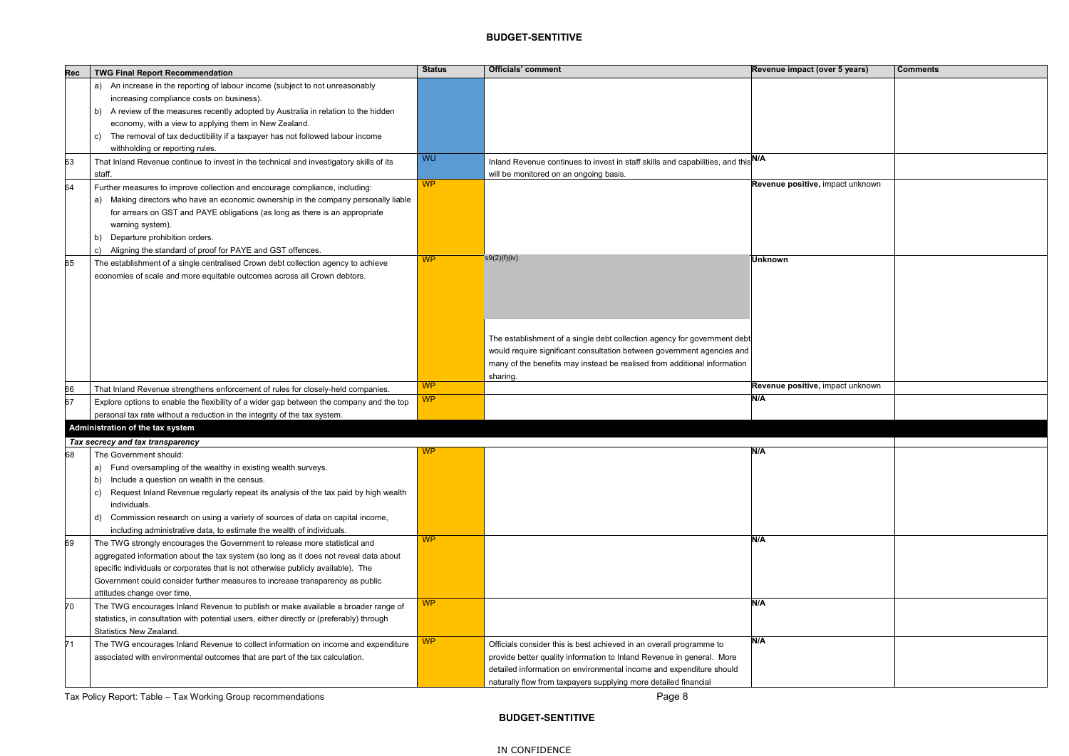| <b>Rec</b> | <b>TWG Final Report Recommendation</b>                                                    | <b>Status</b>  | <b>Officials' comment</b>                                                         | Revenue impact (over 5 years)    | <b>Comments</b> |
|------------|-------------------------------------------------------------------------------------------|----------------|-----------------------------------------------------------------------------------|----------------------------------|-----------------|
|            | a) An increase in the reporting of labour income (subject to not unreasonably             |                |                                                                                   |                                  |                 |
|            | increasing compliance costs on business).                                                 |                |                                                                                   |                                  |                 |
|            | b) A review of the measures recently adopted by Australia in relation to the hidden       |                |                                                                                   |                                  |                 |
|            | economy, with a view to applying them in New Zealand.                                     |                |                                                                                   |                                  |                 |
|            | The removal of tax deductibility if a taxpayer has not followed labour income<br>C)       |                |                                                                                   |                                  |                 |
|            | withholding or reporting rules.                                                           |                |                                                                                   |                                  |                 |
| 63         | That Inland Revenue continue to invest in the technical and investigatory skills of its   | <b>WU</b>      | Inland Revenue continues to invest in staff skills and capabilities, and this N/A |                                  |                 |
|            | staff.                                                                                    |                | will be monitored on an ongoing basis.                                            |                                  |                 |
| 64         | Further measures to improve collection and encourage compliance, including:               | <b>WP</b>      |                                                                                   | Revenue positive, impact unknown |                 |
|            | a) Making directors who have an economic ownership in the company personally liable       |                |                                                                                   |                                  |                 |
|            | for arrears on GST and PAYE obligations (as long as there is an appropriate               |                |                                                                                   |                                  |                 |
|            | warning system).                                                                          |                |                                                                                   |                                  |                 |
|            | Departure prohibition orders.                                                             |                |                                                                                   |                                  |                 |
|            | Aligning the standard of proof for PAYE and GST offences.<br>C)                           |                |                                                                                   |                                  |                 |
| 65         | The establishment of a single centralised Crown debt collection agency to achieve         | <b>WP</b>      | S(2)(f)(iv)                                                                       | <b>Unknown</b>                   |                 |
|            | economies of scale and more equitable outcomes across all Crown debtors.                  |                |                                                                                   |                                  |                 |
|            |                                                                                           |                |                                                                                   |                                  |                 |
|            |                                                                                           |                |                                                                                   |                                  |                 |
|            |                                                                                           |                |                                                                                   |                                  |                 |
|            |                                                                                           |                |                                                                                   |                                  |                 |
|            |                                                                                           |                | The establishment of a single debt collection agency for government debt          |                                  |                 |
|            |                                                                                           |                | would require significant consultation between government agencies and            |                                  |                 |
|            |                                                                                           |                | many of the benefits may instead be realised from additional information          |                                  |                 |
|            |                                                                                           |                | sharing.                                                                          |                                  |                 |
| 66         | That Inland Revenue strengthens enforcement of rules for closely-held companies.          | WP <sup></sup> |                                                                                   | Revenue positive, impact unknown |                 |
| 67         | Explore options to enable the flexibility of a wider gap between the company and the top  | <b>WP</b>      |                                                                                   | N/A                              |                 |
|            | personal tax rate without a reduction in the integrity of the tax system.                 |                |                                                                                   |                                  |                 |
|            | Administration of the tax system                                                          |                |                                                                                   |                                  |                 |
|            | Tax secrecy and tax transparency                                                          |                |                                                                                   |                                  |                 |
| 68         | The Government should:                                                                    | WP             |                                                                                   | N/A                              |                 |
|            | a) Fund oversampling of the wealthy in existing wealth surveys.                           |                |                                                                                   |                                  |                 |
|            | Include a question on wealth in the census.<br>b)                                         |                |                                                                                   |                                  |                 |
|            | Request Inland Revenue regularly repeat its analysis of the tax paid by high wealth<br>C) |                |                                                                                   |                                  |                 |
|            | individuals.                                                                              |                |                                                                                   |                                  |                 |
|            | Commission research on using a variety of sources of data on capital income,<br>d)        |                |                                                                                   |                                  |                 |
|            | including administrative data, to estimate the wealth of individuals.                     |                |                                                                                   |                                  |                 |
| 69         | The TWG strongly encourages the Government to release more statistical and                | <b>WP</b>      |                                                                                   | N/A                              |                 |
|            | aggregated information about the tax system (so long as it does not reveal data about     |                |                                                                                   |                                  |                 |
|            | specific individuals or corporates that is not otherwise publicly available). The         |                |                                                                                   |                                  |                 |
|            | Government could consider further measures to increase transparency as public             |                |                                                                                   |                                  |                 |
|            | attitudes change over time.                                                               |                |                                                                                   |                                  |                 |
| 70         | The TWG encourages Inland Revenue to publish or make available a broader range of         | <b>WP</b>      |                                                                                   | N/A                              |                 |
|            | statistics, in consultation with potential users, either directly or (preferably) through |                |                                                                                   |                                  |                 |
|            | Statistics New Zealand.                                                                   |                |                                                                                   |                                  |                 |
| 71         | The TWG encourages Inland Revenue to collect information on income and expenditure        | <b>WP</b>      | Officials consider this is best achieved in an overall programme to               | N/A                              |                 |
|            | associated with environmental outcomes that are part of the tax calculation.              |                | provide better quality information to Inland Revenue in general. More             |                                  |                 |
|            |                                                                                           |                | detailed information on environmental income and expenditure should               |                                  |                 |
|            |                                                                                           |                | naturally flow from taxpayers supplying more detailed financial                   |                                  |                 |

Tax Policy Report: Table – Tax Working Group recommendations **Page 1** According to the United States of Page 8

| impact (over 5 years)    | <b>Comments</b> |
|--------------------------|-----------------|
|                          |                 |
|                          |                 |
|                          |                 |
|                          |                 |
|                          |                 |
|                          |                 |
|                          |                 |
| positive, impact unknown |                 |
|                          |                 |
|                          |                 |
|                          |                 |
|                          |                 |
|                          |                 |
|                          |                 |
|                          |                 |
|                          |                 |
|                          |                 |
|                          |                 |
|                          |                 |
|                          |                 |
|                          |                 |
| positive, impact unknown |                 |
|                          |                 |
|                          |                 |
|                          |                 |
|                          |                 |
|                          |                 |
|                          |                 |
|                          |                 |
|                          |                 |
|                          |                 |
|                          |                 |
|                          |                 |
|                          |                 |
|                          |                 |
|                          |                 |
|                          |                 |
|                          |                 |
|                          |                 |
|                          |                 |
|                          |                 |
|                          |                 |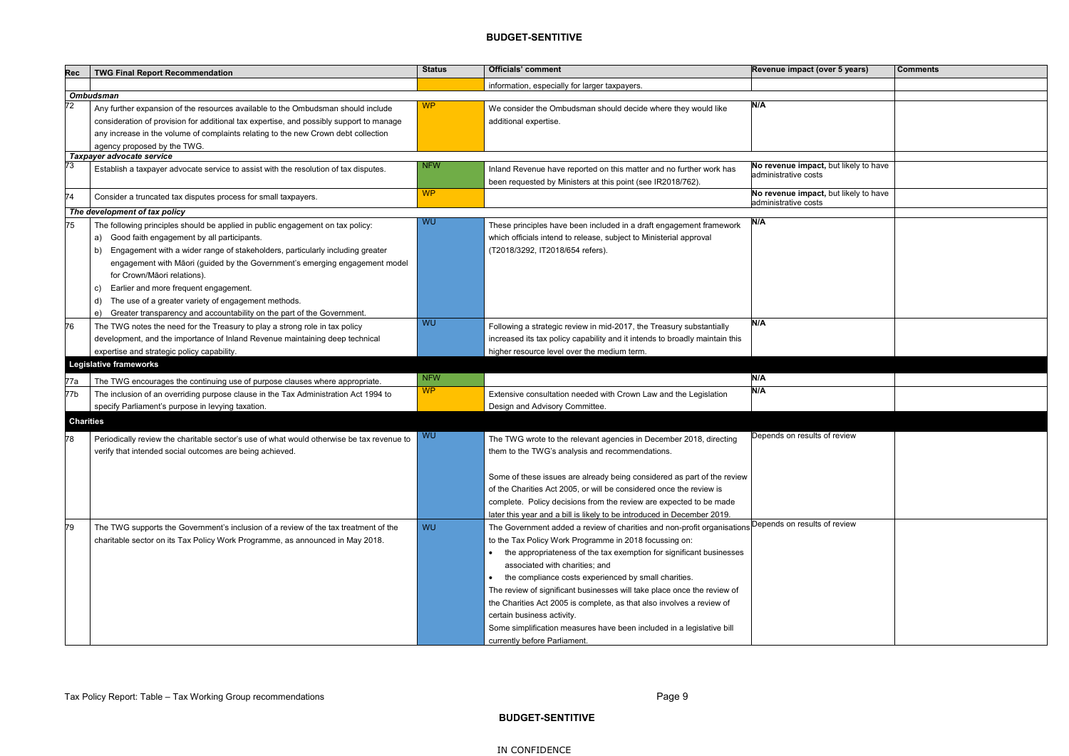| evenue impact (over 5 years)                                | <b>Comments</b> |
|-------------------------------------------------------------|-----------------|
|                                                             |                 |
|                                                             |                 |
| /A                                                          |                 |
|                                                             |                 |
|                                                             |                 |
|                                                             |                 |
| o revenue impact, but likely to have                        |                 |
| dministrative costs                                         |                 |
|                                                             |                 |
| o revenue impact, but likely to have<br>dministrative costs |                 |
|                                                             |                 |
| /A                                                          |                 |
|                                                             |                 |
|                                                             |                 |
|                                                             |                 |
|                                                             |                 |
|                                                             |                 |
|                                                             |                 |
|                                                             |                 |
| /A                                                          |                 |
|                                                             |                 |
|                                                             |                 |
|                                                             |                 |
| /A                                                          |                 |
| /A                                                          |                 |
|                                                             |                 |
|                                                             |                 |
|                                                             |                 |
| epends on results of review                                 |                 |
|                                                             |                 |
|                                                             |                 |
|                                                             |                 |
|                                                             |                 |
|                                                             |                 |
|                                                             |                 |
| epends on results of review                                 |                 |
|                                                             |                 |
|                                                             |                 |
|                                                             |                 |
|                                                             |                 |
|                                                             |                 |
|                                                             |                 |
|                                                             |                 |
|                                                             |                 |
|                                                             |                 |
|                                                             |                 |

| <b>Rec</b>       | <b>TWG Final Report Recommendation</b>                                                    | <b>Status</b> | <b>Officials' comment</b>                                                                            | Revenue impact (over 5 years)                                 | <b>Comments</b> |
|------------------|-------------------------------------------------------------------------------------------|---------------|------------------------------------------------------------------------------------------------------|---------------------------------------------------------------|-----------------|
|                  |                                                                                           |               | information, especially for larger taxpayers.                                                        |                                                               |                 |
|                  | <b>Ombudsman</b>                                                                          |               |                                                                                                      |                                                               |                 |
| 72               | Any further expansion of the resources available to the Ombudsman should include          | <b>WP</b>     | We consider the Ombudsman should decide where they would like                                        | N/A                                                           |                 |
|                  | consideration of provision for additional tax expertise, and possibly support to manage   |               | additional expertise.                                                                                |                                                               |                 |
|                  | any increase in the volume of complaints relating to the new Crown debt collection        |               |                                                                                                      |                                                               |                 |
|                  | agency proposed by the TWG.                                                               |               |                                                                                                      |                                                               |                 |
|                  | Taxpayer advocate service                                                                 | <b>NFW</b>    |                                                                                                      | No revenue impact, but likely to have                         |                 |
| 73               | Establish a taxpayer advocate service to assist with the resolution of tax disputes.      |               | Inland Revenue have reported on this matter and no further work has                                  | administrative costs                                          |                 |
|                  |                                                                                           |               | been requested by Ministers at this point (see IR2018/762).                                          |                                                               |                 |
| 74               | Consider a truncated tax disputes process for small taxpayers.                            | <b>WP</b>     |                                                                                                      | No revenue impact, but likely to have<br>administrative costs |                 |
|                  | The development of tax policy                                                             |               |                                                                                                      |                                                               |                 |
| 75               | The following principles should be applied in public engagement on tax policy:            | WU            | These principles have been included in a draft engagement framework                                  | N/A                                                           |                 |
|                  | Good faith engagement by all participants.<br>a)                                          |               | which officials intend to release, subject to Ministerial approval                                   |                                                               |                 |
|                  | Engagement with a wider range of stakeholders, particularly including greater<br>b)       |               | (T2018/3292, IT2018/654 refers).                                                                     |                                                               |                 |
|                  | engagement with Māori (guided by the Government's emerging engagement model               |               |                                                                                                      |                                                               |                 |
|                  | for Crown/Māori relations).                                                               |               |                                                                                                      |                                                               |                 |
|                  | Earlier and more frequent engagement.<br>C)                                               |               |                                                                                                      |                                                               |                 |
|                  | The use of a greater variety of engagement methods.<br>d)                                 |               |                                                                                                      |                                                               |                 |
|                  | Greater transparency and accountability on the part of the Government.<br>e)              |               |                                                                                                      |                                                               |                 |
| 76               | The TWG notes the need for the Treasury to play a strong role in tax policy               | WU            | Following a strategic review in mid-2017, the Treasury substantially                                 | N/A                                                           |                 |
|                  | development, and the importance of Inland Revenue maintaining deep technical              |               | increased its tax policy capability and it intends to broadly maintain this                          |                                                               |                 |
|                  | expertise and strategic policy capability.                                                |               | higher resource level over the medium term.                                                          |                                                               |                 |
|                  | <b>Legislative frameworks</b>                                                             |               |                                                                                                      |                                                               |                 |
| 77a              | The TWG encourages the continuing use of purpose clauses where appropriate.               | <b>NFW</b>    |                                                                                                      | N/A                                                           |                 |
| 77b              | The inclusion of an overriding purpose clause in the Tax Administration Act 1994 to       | <b>WP</b>     | Extensive consultation needed with Crown Law and the Legislation                                     | N/A                                                           |                 |
|                  | specify Parliament's purpose in levying taxation.                                         |               | Design and Advisory Committee.                                                                       |                                                               |                 |
| <b>Charities</b> |                                                                                           |               |                                                                                                      |                                                               |                 |
|                  |                                                                                           |               |                                                                                                      |                                                               |                 |
| 78               | Periodically review the charitable sector's use of what would otherwise be tax revenue to | <b>WU</b>     | The TWG wrote to the relevant agencies in December 2018, directing                                   | Depends on results of review                                  |                 |
|                  | verify that intended social outcomes are being achieved.                                  |               | them to the TWG's analysis and recommendations.                                                      |                                                               |                 |
|                  |                                                                                           |               |                                                                                                      |                                                               |                 |
|                  |                                                                                           |               | Some of these issues are already being considered as part of the review                              |                                                               |                 |
|                  |                                                                                           |               | of the Charities Act 2005, or will be considered once the review is                                  |                                                               |                 |
|                  |                                                                                           |               | complete. Policy decisions from the review are expected to be made                                   |                                                               |                 |
|                  |                                                                                           |               | later this year and a bill is likely to be introduced in December 2019.                              |                                                               |                 |
| 79               | The TWG supports the Government's inclusion of a review of the tax treatment of the       | <b>WU</b>     | The Government added a review of charities and non-profit organisations Depends on results of review |                                                               |                 |
|                  | charitable sector on its Tax Policy Work Programme, as announced in May 2018.             |               | to the Tax Policy Work Programme in 2018 focussing on:                                               |                                                               |                 |
|                  |                                                                                           |               | the appropriateness of the tax exemption for significant businesses                                  |                                                               |                 |
|                  |                                                                                           |               | associated with charities; and                                                                       |                                                               |                 |
|                  |                                                                                           |               | the compliance costs experienced by small charities.                                                 |                                                               |                 |
|                  |                                                                                           |               | The review of significant businesses will take place once the review of                              |                                                               |                 |
|                  |                                                                                           |               | the Charities Act 2005 is complete, as that also involves a review of                                |                                                               |                 |
|                  |                                                                                           |               | certain business activity.                                                                           |                                                               |                 |
|                  |                                                                                           |               | Some simplification measures have been included in a legislative bill                                |                                                               |                 |
|                  |                                                                                           |               | currently before Parliament.                                                                         |                                                               |                 |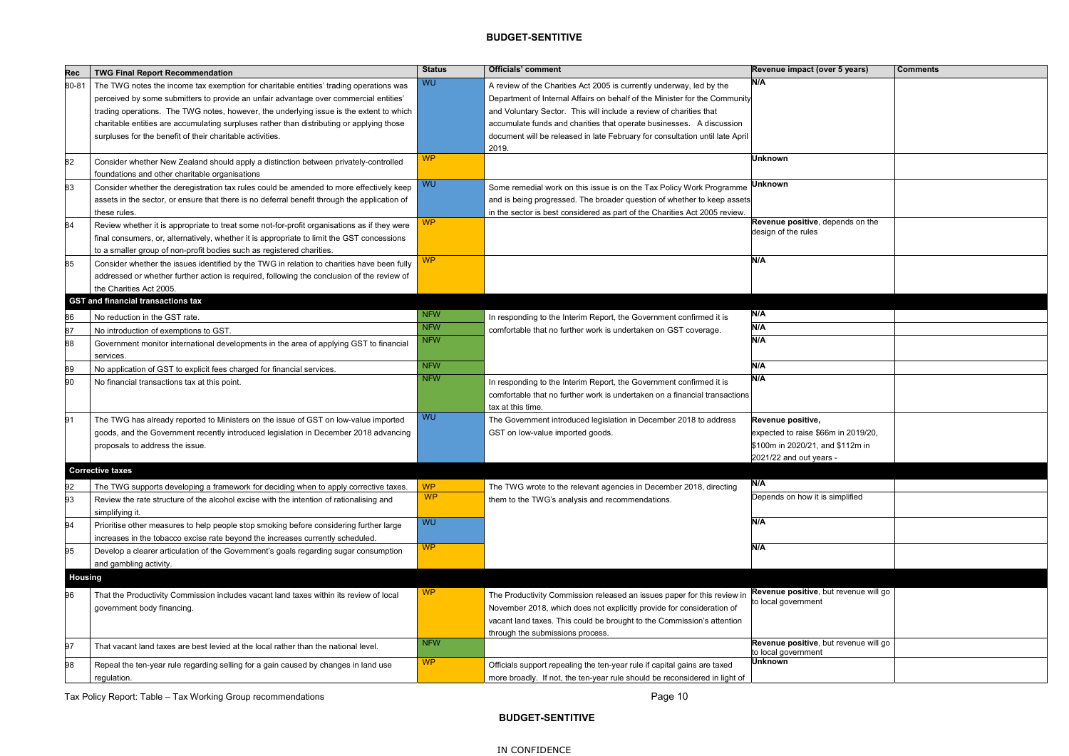| Rec            | <b>TWG Final Report Recommendation</b>                                                       | <b>Status</b> | Officials' comment                                                           | Revenue impact (over 5 years)         | <b>Comments</b> |
|----------------|----------------------------------------------------------------------------------------------|---------------|------------------------------------------------------------------------------|---------------------------------------|-----------------|
| 80-81          | The TWG notes the income tax exemption for charitable entities' trading operations was       | <b>WU</b>     | A review of the Charities Act 2005 is currently underway, led by the         | N/A                                   |                 |
|                | perceived by some submitters to provide an unfair advantage over commercial entities'        |               | Department of Internal Affairs on behalf of the Minister for the Community   |                                       |                 |
|                | trading operations. The TWG notes, however, the underlying issue is the extent to which      |               | and Voluntary Sector. This will include a review of charities that           |                                       |                 |
|                | charitable entities are accumulating surpluses rather than distributing or applying those    |               | accumulate funds and charities that operate businesses. A discussion         |                                       |                 |
|                | surpluses for the benefit of their charitable activities.                                    |               | document will be released in late February for consultation until late April |                                       |                 |
|                |                                                                                              |               | 2019.                                                                        |                                       |                 |
| 82             | Consider whether New Zealand should apply a distinction between privately-controlled         | <b>WP</b>     |                                                                              | <b>Unknown</b>                        |                 |
|                | foundations and other charitable organisations                                               |               |                                                                              |                                       |                 |
| 83             | Consider whether the deregistration tax rules could be amended to more effectively keep      | <b>WU</b>     | Some remedial work on this issue is on the Tax Policy Work Programme         | Unknown                               |                 |
|                | assets in the sector, or ensure that there is no deferral benefit through the application of |               | and is being progressed. The broader question of whether to keep assets      |                                       |                 |
|                | these rules.                                                                                 |               | in the sector is best considered as part of the Charities Act 2005 review.   |                                       |                 |
| 84             | Review whether it is appropriate to treat some not-for-profit organisations as if they were  | WP            |                                                                              | Revenue positive, depends on the      |                 |
|                | final consumers, or, alternatively, whether it is appropriate to limit the GST concessions   |               |                                                                              | design of the rules                   |                 |
|                | to a smaller group of non-profit bodies such as registered charities.                        |               |                                                                              |                                       |                 |
| 85             | Consider whether the issues identified by the TWG in relation to charities have been fully   | <b>WP</b>     |                                                                              | N/A                                   |                 |
|                | addressed or whether further action is required, following the conclusion of the review of   |               |                                                                              |                                       |                 |
|                | the Charities Act 2005.                                                                      |               |                                                                              |                                       |                 |
|                | <b>GST and financial transactions tax</b>                                                    |               |                                                                              |                                       |                 |
| 86             | No reduction in the GST rate.                                                                | <b>NFW</b>    | In responding to the Interim Report, the Government confirmed it is          | N/A                                   |                 |
| 87             | No introduction of exemptions to GST.                                                        | <b>NFW</b>    | comfortable that no further work is undertaken on GST coverage.              | N/A                                   |                 |
| 88             | Government monitor international developments in the area of applying GST to financial       | <b>NFW</b>    |                                                                              | N/A                                   |                 |
|                | services.                                                                                    |               |                                                                              |                                       |                 |
| 89             | No application of GST to explicit fees charged for financial services.                       | <b>NFW</b>    |                                                                              | N/A                                   |                 |
| 90             | No financial transactions tax at this point.                                                 | <b>NFW</b>    | In responding to the Interim Report, the Government confirmed it is          | N/A                                   |                 |
|                |                                                                                              |               | comfortable that no further work is undertaken on a financial transactions   |                                       |                 |
|                |                                                                                              |               | tax at this time.                                                            |                                       |                 |
| 91             | The TWG has already reported to Ministers on the issue of GST on low-value imported          | <b>WU</b>     | The Government introduced legislation in December 2018 to address            | Revenue positive,                     |                 |
|                | goods, and the Government recently introduced legislation in December 2018 advancing         |               | GST on low-value imported goods.                                             | expected to raise \$66m in 2019/20,   |                 |
|                | proposals to address the issue.                                                              |               |                                                                              | \$100m in 2020/21, and \$112m in      |                 |
|                |                                                                                              |               |                                                                              | 2021/22 and out years -               |                 |
|                | <b>Corrective taxes</b>                                                                      |               |                                                                              |                                       |                 |
| 92             | The TWG supports developing a framework for deciding when to apply corrective taxes.         | <b>WP</b>     | The TWG wrote to the relevant agencies in December 2018, directing           | N/A                                   |                 |
| 93             | Review the rate structure of the alcohol excise with the intention of rationalising and      | <b>WP</b>     | them to the TWG's analysis and recommendations.                              | Depends on how it is simplified       |                 |
|                | simplifying it.                                                                              |               |                                                                              |                                       |                 |
| 94             | Prioritise other measures to help people stop smoking before considering further large       | WU            |                                                                              | N/A                                   |                 |
|                | increases in the tobacco excise rate beyond the increases currently scheduled.               |               |                                                                              |                                       |                 |
| 95             | Develop a clearer articulation of the Government's goals regarding sugar consumption         | <b>WP</b>     |                                                                              | N/A                                   |                 |
|                | and gambling activity.                                                                       |               |                                                                              |                                       |                 |
| <b>Housing</b> |                                                                                              |               |                                                                              |                                       |                 |
| 96             | That the Productivity Commission includes vacant land taxes within its review of local       | <b>WP</b>     | The Productivity Commission released an issues paper for this review in      | Revenue positive, but revenue will go |                 |
|                | government body financing.                                                                   |               | November 2018, which does not explicitly provide for consideration of        | to local government                   |                 |
|                |                                                                                              |               | vacant land taxes. This could be brought to the Commission's attention       |                                       |                 |
|                |                                                                                              |               | through the submissions process.                                             |                                       |                 |
| 97             | That vacant land taxes are best levied at the local rather than the national level.          | <b>NFW</b>    |                                                                              | Revenue positive, but revenue will go |                 |
|                |                                                                                              |               |                                                                              | to local government                   |                 |
| 98             | Repeal the ten-year rule regarding selling for a gain caused by changes in land use          | <b>WP</b>     | Officials support repealing the ten-year rule if capital gains are taxed     | <b>Unknown</b>                        |                 |
|                | regulation.                                                                                  |               | more broadly. If not, the ten-year rule should be reconsidered in light of   |                                       |                 |

| Revenue impact (over 5 years)                           | <b>Comments</b> |
|---------------------------------------------------------|-----------------|
| N/A                                                     |                 |
|                                                         |                 |
|                                                         |                 |
|                                                         |                 |
|                                                         |                 |
| <b>Unknown</b>                                          |                 |
|                                                         |                 |
| <b>Unknown</b>                                          |                 |
|                                                         |                 |
|                                                         |                 |
| Revenue positive, depends on the<br>design of the rules |                 |
|                                                         |                 |
| N/A                                                     |                 |
|                                                         |                 |
|                                                         |                 |
|                                                         |                 |
| N/A                                                     |                 |
| $\overline{\mathsf{N}}\mathsf{N}$                       |                 |
| N/A                                                     |                 |
|                                                         |                 |
| N/A<br>N/A                                              |                 |
|                                                         |                 |
|                                                         |                 |
| Revenue positive,                                       |                 |
| expected to raise \$66m in 2019/20,                     |                 |
| \$100m in 2020/21, and \$112m in                        |                 |
| 2021/22 and out years -                                 |                 |
|                                                         |                 |
| N/A                                                     |                 |
| Depends on how it is simplified                         |                 |
| N/A                                                     |                 |
|                                                         |                 |
| N/A                                                     |                 |
|                                                         |                 |
|                                                         |                 |
| Revenue positive, but revenue will go                   |                 |
| to local government                                     |                 |
|                                                         |                 |
|                                                         |                 |
| Revenue positive, but revenue will go                   |                 |
| to local government<br><b>Unknown</b>                   |                 |
|                                                         |                 |

Tax Policy Report: Table – Tax Working Group recommendations Page 10